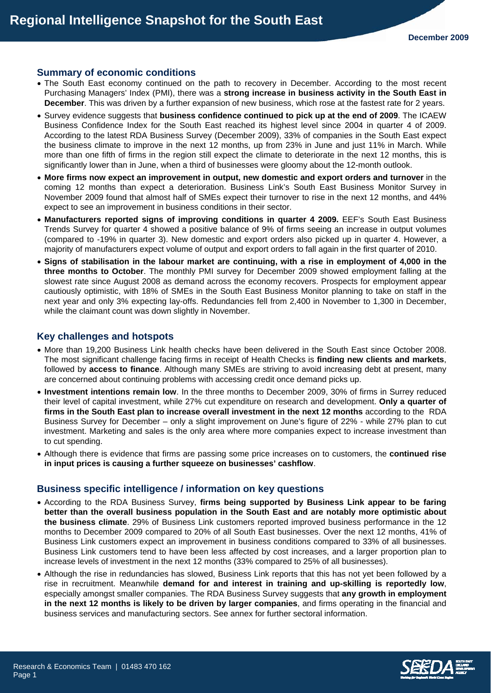#### **Summary of economic conditions**

- The South East economy continued on the path to recovery in December. According to the most recent Purchasing Managers' Index (PMI), there was a **strong increase in business activity in the South East in December**. This was driven by a further expansion of new business, which rose at the fastest rate for 2 years.
- Survey evidence suggests that **business confidence continued to pick up at the end of 2009**. The ICAEW Business Confidence Index for the South East reached its highest level since 2004 in quarter 4 of 2009. According to the latest RDA Business Survey (December 2009), 33% of companies in the South East expect the business climate to improve in the next 12 months, up from 23% in June and just 11% in March. While more than one fifth of firms in the region still expect the climate to deteriorate in the next 12 months, this is significantly lower than in June, when a third of businesses were gloomy about the 12-month outlook.
- **More firms now expect an improvement in output, new domestic and export orders and turnover** in the coming 12 months than expect a deterioration. Business Link's South East Business Monitor Survey in November 2009 found that almost half of SMEs expect their turnover to rise in the next 12 months, and 44% expect to see an improvement in business conditions in their sector.
- **Manufacturers reported signs of improving conditions in quarter 4 2009.** EEF's South East Business Trends Survey for quarter 4 showed a positive balance of 9% of firms seeing an increase in output volumes (compared to -19% in quarter 3). New domestic and export orders also picked up in quarter 4. However, a majority of manufacturers expect volume of output and export orders to fall again in the first quarter of 2010.
- **Signs of stabilisation in the labour market are continuing, with a rise in employment of 4,000 in the three months to October**. The monthly PMI survey for December 2009 showed employment falling at the slowest rate since August 2008 as demand across the economy recovers. Prospects for employment appear cautiously optimistic, with 18% of SMEs in the South East Business Monitor planning to take on staff in the next year and only 3% expecting lay-offs. Redundancies fell from 2,400 in November to 1,300 in December, while the claimant count was down slightly in November.

#### **Key challenges and hotspots**

- More than 19,200 Business Link health checks have been delivered in the South East since October 2008. The most significant challenge facing firms in receipt of Health Checks is **finding new clients and markets**, followed by **access to finance**. Although many SMEs are striving to avoid increasing debt at present, many are concerned about continuing problems with accessing credit once demand picks up.
- **Investment intentions remain low**. In the three months to December 2009, 30% of firms in Surrey reduced their level of capital investment, while 27% cut expenditure on research and development. **Only a quarter of firms in the South East plan to increase overall investment in the next 12 months** according to the RDA Business Survey for December – only a slight improvement on June's figure of 22% - while 27% plan to cut investment. Marketing and sales is the only area where more companies expect to increase investment than to cut spending.
- Although there is evidence that firms are passing some price increases on to customers, the **continued rise in input prices is causing a further squeeze on businesses' cashflow**.

#### **Business specific intelligence / information on key questions**

- According to the RDA Business Survey, **firms being supported by Business Link appear to be faring better than the overall business population in the South East and are notably more optimistic about the business climate**. 29% of Business Link customers reported improved business performance in the 12 months to December 2009 compared to 20% of all South East businesses. Over the next 12 months, 41% of Business Link customers expect an improvement in business conditions compared to 33% of all businesses. Business Link customers tend to have been less affected by cost increases, and a larger proportion plan to increase levels of investment in the next 12 months (33% compared to 25% of all businesses).
- Although the rise in redundancies has slowed, Business Link reports that this has not yet been followed by a rise in recruitment. Meanwhile **demand for and interest in training and up-skilling is reportedly low**, especially amongst smaller companies. The RDA Business Survey suggests that **any growth in employment in the next 12 months is likely to be driven by larger companies**, and firms operating in the financial and business services and manufacturing sectors. See annex for further sectoral information.

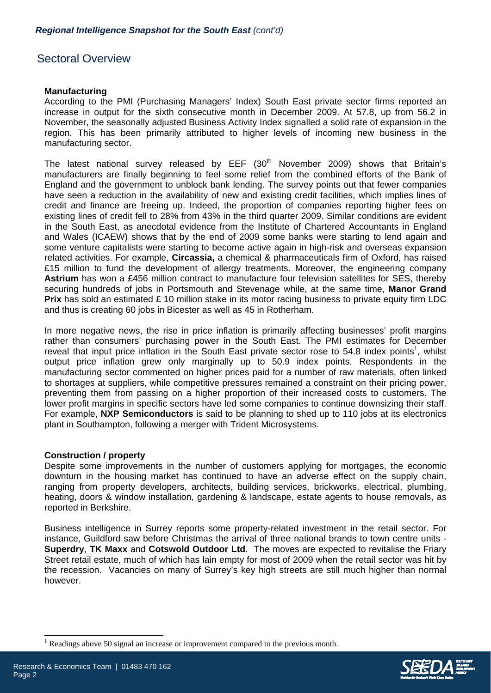# Sectoral Overview

### **Manufacturing**

According to the PMI (Purchasing Managers' Index) South East private sector firms reported an increase in output for the sixth consecutive month in December 2009. At 57.8, up from 56.2 in November, the seasonally adjusted Business Activity Index signalled a solid rate of expansion in the region. This has been primarily attributed to higher levels of incoming new business in the manufacturing sector.

The latest national survey released by  $EEF$  (30<sup>th</sup> November 2009) shows that Britain's manufacturers are finally beginning to feel some relief from the combined efforts of the Bank of England and the government to unblock bank lending. The survey points out that fewer companies have seen a reduction in the availability of new and existing credit facilities, which implies lines of credit and finance are freeing up. Indeed, the proportion of companies reporting higher fees on existing lines of credit fell to 28% from 43% in the third quarter 2009. Similar conditions are evident in the South East, as anecdotal evidence from the Institute of Chartered Accountants in England and Wales (ICAEW) shows that by the end of 2009 some banks were starting to lend again and some venture capitalists were starting to become active again in high-risk and overseas expansion related activities. For example, **Circassia,** a chemical & pharmaceuticals firm of Oxford, has raised £15 million to fund the development of allergy treatments. Moreover, the engineering company **Astrium** has won a £456 million contract to manufacture four television satellites for SES, thereby securing hundreds of jobs in Portsmouth and Stevenage while, at the same time, **Manor Grand Prix** has sold an estimated £ 10 million stake in its motor racing business to private equity firm LDC and thus is creating 60 jobs in Bicester as well as 45 in Rotherham.

In more negative news, the rise in price inflation is primarily affecting businesses' profit margins rather than consumers' purchasing power in the South East. The PMI estimates for December reveal that input price inflation in the South East private sector rose to 54.8 index points<sup>1</sup>, whilst output price inflation grew only marginally up to 50.9 index points. Respondents in the manufacturing sector commented on higher prices paid for a number of raw materials, often linked to shortages at suppliers, while competitive pressures remained a constraint on their pricing power, preventing them from passing on a higher proportion of their increased costs to customers. The lower profit margins in specific sectors have led some companies to continue downsizing their staff. For example, **NXP Semiconductors** is said to be planning to shed up to 110 jobs at its electronics plant in Southampton, following a merger with Trident Microsystems.

#### **Construction / property**

Despite some improvements in the number of customers applying for mortgages, the economic downturn in the housing market has continued to have an adverse effect on the supply chain, ranging from property developers, architects, building services, brickworks, electrical, plumbing, heating, doors & window installation, gardening & landscape, estate agents to house removals, as reported in Berkshire.

Business intelligence in Surrey reports some property-related investment in the retail sector. For instance, Guildford saw before Christmas the arrival of three national brands to town centre units - **Superdry**, **TK Maxx** and **Cotswold Outdoor Ltd**. The moves are expected to revitalise the Friary Street retail estate, much of which has lain empty for most of 2009 when the retail sector was hit by the recession. Vacancies on many of Surrey's key high streets are still much higher than normal however.

 $<sup>1</sup>$  Readings above 50 signal an increase or improvement compared to the previous month.</sup>





l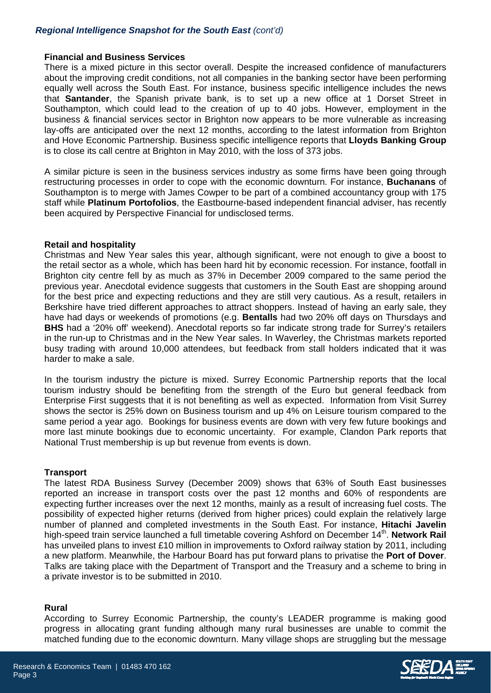## *Regional Intelligence Snapshot for the South East (cont'd)*

#### **Financial and Business Services**

There is a mixed picture in this sector overall. Despite the increased confidence of manufacturers about the improving credit conditions, not all companies in the banking sector have been performing equally well across the South East. For instance, business specific intelligence includes the news that **Santander**, the Spanish private bank, is to set up a new office at 1 Dorset Street in Southampton, which could lead to the creation of up to 40 jobs. However, employment in the business & financial services sector in Brighton now appears to be more vulnerable as increasing lay-offs are anticipated over the next 12 months, according to the latest information from Brighton and Hove Economic Partnership. Business specific intelligence reports that **Lloyds Banking Group**  is to close its call centre at Brighton in May 2010, with the loss of 373 jobs.

A similar picture is seen in the business services industry as some firms have been going through restructuring processes in order to cope with the economic downturn. For instance, **Buchanans** of Southampton is to merge with James Cowper to be part of a combined accountancy group with 175 staff while **Platinum Portofolios**, the Eastbourne-based independent financial adviser, has recently been acquired by Perspective Financial for undisclosed terms.

#### **Retail and hospitality**

Christmas and New Year sales this year, although significant, were not enough to give a boost to the retail sector as a whole, which has been hard hit by economic recession. For instance, footfall in Brighton city centre fell by as much as 37% in December 2009 compared to the same period the previous year. Anecdotal evidence suggests that customers in the South East are shopping around for the best price and expecting reductions and they are still very cautious. As a result, retailers in Berkshire have tried different approaches to attract shoppers. Instead of having an early sale, they have had days or weekends of promotions (e.g. **Bentalls** had two 20% off days on Thursdays and **BHS** had a '20% off' weekend). Anecdotal reports so far indicate strong trade for Surrey's retailers in the run-up to Christmas and in the New Year sales. In Waverley, the Christmas markets reported busy trading with around 10,000 attendees, but feedback from stall holders indicated that it was harder to make a sale.

In the tourism industry the picture is mixed. Surrey Economic Partnership reports that the local tourism industry should be benefiting from the strength of the Euro but general feedback from Enterprise First suggests that it is not benefiting as well as expected. Information from Visit Surrey shows the sector is 25% down on Business tourism and up 4% on Leisure tourism compared to the same period a year ago. Bookings for business events are down with very few future bookings and more last minute bookings due to economic uncertainty. For example, Clandon Park reports that National Trust membership is up but revenue from events is down.

#### **Transport**

The latest RDA Business Survey (December 2009) shows that 63% of South East businesses reported an increase in transport costs over the past 12 months and 60% of respondents are expecting further increases over the next 12 months, mainly as a result of increasing fuel costs. The possibility of expected higher returns (derived from higher prices) could explain the relatively large number of planned and completed investments in the South East. For instance, **Hitachi Javelin** high-speed train service launched a full timetable covering Ashford on December 14<sup>th</sup>. Network Rail has unveiled plans to invest £10 million in improvements to Oxford railway station by 2011, including a new platform. Meanwhile, the Harbour Board has put forward plans to privatise the **Port of Dover**. Talks are taking place with the Department of Transport and the Treasury and a scheme to bring in a private investor is to be submitted in 2010.

#### **Rural**

According to Surrey Economic Partnership, the county's LEADER programme is making good progress in allocating grant funding although many rural businesses are unable to commit the matched funding due to the economic downturn. Many village shops are struggling but the message